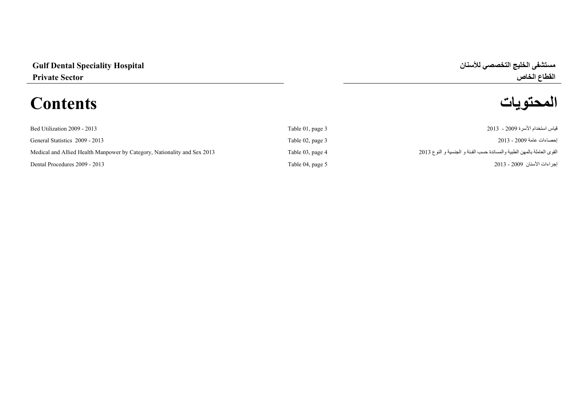# **المحتويات Contents**



| Bed Utilization 2009 - 2013                                              | Table 01, page 3 | قياس استخدام الأسرة 2009 - 2013                                        |
|--------------------------------------------------------------------------|------------------|------------------------------------------------------------------------|
| General Statistics 2009 - 2013                                           | Table 02, page 3 | احصـاءات عامة 2009 - 2013                                              |
| Medical and Allied Health Manpower by Category, Nationality and Sex 2013 | Table 03, page 4 | القوى العاملة بالمهن الطبية والمساندة حسب الفئة و الجنسية و النوع 2013 |
| Dental Procedures 2009 - 2013                                            | Table 04, page 5 | إجراءات الأسنان  2009 - 2013                                           |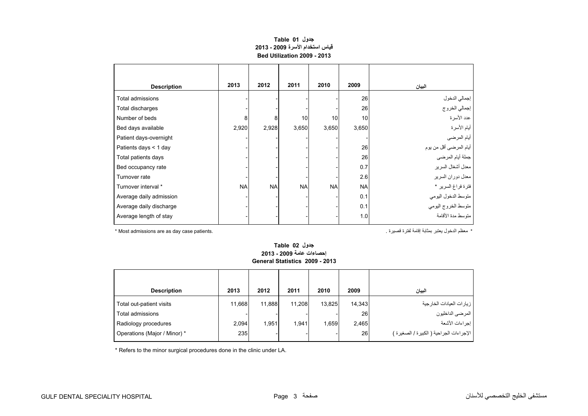# **جدول 01 Table قياس استخدام األسرة 2009 - 2013 Bed Utilization 2009 - 2013**

<span id="page-1-0"></span>

| <b>Description</b>      | 2013      | 2012      | 2011      | 2010      | 2009      | البيان                 |
|-------------------------|-----------|-----------|-----------|-----------|-----------|------------------------|
| Total admissions        |           |           |           |           | 26        | إجمالي الدخول          |
| Total discharges        |           |           |           |           | 26        | إجمالي الخروج          |
| Number of beds          | 8         | 8         | 10        | 10        | 10        | عدد الأسرة             |
| Bed days available      | 2,920     | 2,928     | 3,650     | 3,650     | 3,650     | أيام الأسرة            |
| Patient days-overnight  |           |           |           |           |           | أيام المرضي            |
| Patients days < 1 day   |           |           |           |           | 26        | أيام المرضى أقل من يوم |
| Total patients days     |           |           |           |           | 26        | جملة أيام المرضي       |
| Bed occupancy rate      |           |           |           |           | 0.7       | معدل أشغال السرير      |
| Turnover rate           |           |           |           |           | 2.6       | معدل دوران السرير      |
| Turnover interval *     | <b>NA</b> | <b>NA</b> | <b>NA</b> | <b>NA</b> | <b>NA</b> | فترة فراغ السرير *     |
| Average daily admission |           |           |           |           | 0.1       | متوسط الدخول اليومي    |
| Average daily discharge |           |           |           |           | 0.1       | متوسط الخروج اليومي    |
| Average length of stay  |           |           |           |           | 1.0       | منوسط مدة الأقامة      |

\* معظم الدخول يعتبر بمثابة إقامة لفترة قصيرة . .patients case day as are admissions Most\*

### **جدول 02 Table إحصاءات عامة 2009 - 2013 General Statistics 2009 - 2013**

| <b>Description</b>           | 2013   | 2012   | 2011   | 2010   | 2009   | البيان                                   |
|------------------------------|--------|--------|--------|--------|--------|------------------------------------------|
| Total out-patient visits     | 11,668 | 11.888 | 11.208 | 13,825 | 14,343 | ز يار ات العيادات الخار جية              |
| Total admissions             |        |        |        |        | 26     | المرضي الداخليون                         |
| Radiology procedures         | 2,094  | 1.951  | 1,941  | 1,659  | 2,465  | إجراءات الأشعة                           |
| Operations (Major / Minor) * | 235    |        |        |        | 26     | الإجراءات الجراحية ( الكبيرة / الصغيرة ) |

\* Refers to the minor surgical procedures done in the clinic under LA.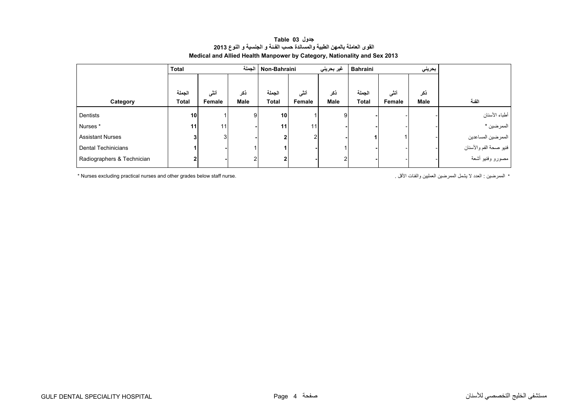<span id="page-2-0"></span>

|                            | <b>Total</b>    |                 |      | Non-Bahraini الجملة<br>غير بحريني |                 |      | Bahraini<br>بحريني |        |      |                        |
|----------------------------|-----------------|-----------------|------|-----------------------------------|-----------------|------|--------------------|--------|------|------------------------|
|                            |                 |                 |      |                                   |                 |      |                    |        |      |                        |
|                            | الجملة          | أنثى            | نكر  | الجملة                            | أنشى            | ذكر  | الجملة             | أنشى   | ذكر  |                        |
| Category                   | <b>Total</b>    | Female          | Male | <b>Total</b>                      | Female          | Male | <b>Total</b>       | Female | Male | الفئة                  |
| Dentists                   | 10 <sub>1</sub> |                 | 9    | 10                                |                 | 9    |                    |        |      | أطباء الأسنان          |
| Nurses*                    | 11              | 11 <sub>1</sub> |      | 11                                | 11 <sub>1</sub> |      |                    |        |      | الممرضين *             |
| <b>Assistant Nurses</b>    | 3 <sub>l</sub>  | 3               |      | 2                                 | 2 <sub>1</sub>  |      |                    |        |      | الممرضين المساعدين     |
| Dental Techinicians        |                 |                 |      |                                   |                 |      |                    |        |      | فنيو صحة الفم والأسنان |
| Radiographers & Technician | 2               |                 |      | 2                                 |                 | 2    |                    |        |      | مصورو وفنيو أشعة       |

## **جدول 03 Table القوى العاملة بالمھن الطبية والمساندة حسب الفـئة <sup>و</sup> الجنسية <sup>و</sup> النوع <sup>2013</sup> Medical and Allied Health Manpower by Category, Nationality and Sex 2013**

\* Nurses excluding practical nurses and other grades below staff nurse. . الممرضين العدد لا يشمل الممرضين العمليين والفئات الأقل .